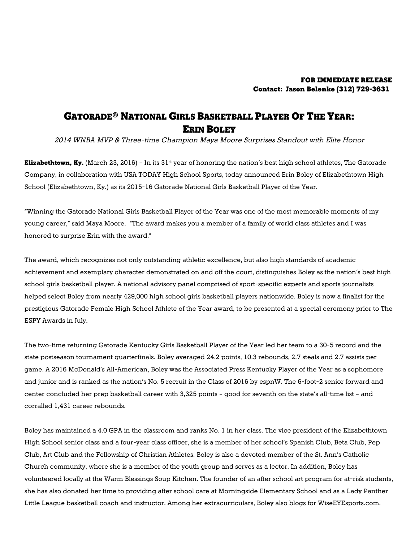## GATORADE® NATIONAL GIRLS BASKETBALL PLAYER OF THE YEAR: ERIN BOLEY

2014 WNBA MVP & Three-time Champion Maya Moore Surprises Standout with Elite Honor

**Elizabethtown, Ky.** (March 23, 2016) – In its  $31st$  year of honoring the nation's best high school athletes, The Gatorade Company, in collaboration with USA TODAY High School Sports, today announced Erin Boley of Elizabethtown High School (Elizabethtown, Ky.) as its 2015-16 Gatorade National Girls Basketball Player of the Year.

"Winning the Gatorade National Girls Basketball Player of the Year was one of the most memorable moments of my young career," said Maya Moore. "The award makes you a member of a family of world class athletes and I was honored to surprise Erin with the award."

The award, which recognizes not only outstanding athletic excellence, but also high standards of academic achievement and exemplary character demonstrated on and off the court, distinguishes Boley as the nation's best high school girls basketball player. A national advisory panel comprised of sport-specific experts and sports journalists helped select Boley from nearly 429,000 high school girls basketball players nationwide. Boley is now a finalist for the prestigious Gatorade Female High School Athlete of the Year award, to be presented at a special ceremony prior to The ESPY Awards in July.

The two-time returning Gatorade Kentucky Girls Basketball Player of the Year led her team to a 30-5 record and the state postseason tournament quarterfinals. Boley averaged 24.2 points, 10.3 rebounds, 2.7 steals and 2.7 assists per game. A 2016 McDonald's All-American, Boley was the Associated Press Kentucky Player of the Year as a sophomore and junior and is ranked as the nation's No. 5 recruit in the Class of 2016 by espnW. The 6-foot-2 senior forward and center concluded her prep basketball career with 3,325 points – good for seventh on the state's all-time list – and corralled 1,431 career rebounds.

Boley has maintained a 4.0 GPA in the classroom and ranks No. 1 in her class. The vice president of the Elizabethtown High School senior class and a four-year class officer, she is a member of her school's Spanish Club, Beta Club, Pep Club, Art Club and the Fellowship of Christian Athletes. Boley is also a devoted member of the St. Ann's Catholic Church community, where she is a member of the youth group and serves as a lector. In addition, Boley has volunteered locally at the Warm Blessings Soup Kitchen. The founder of an after school art program for at-risk students, she has also donated her time to providing after school care at Morningside Elementary School and as a Lady Panther Little League basketball coach and instructor. Among her extracurriculars, Boley also blogs for WiseEYEsports.com.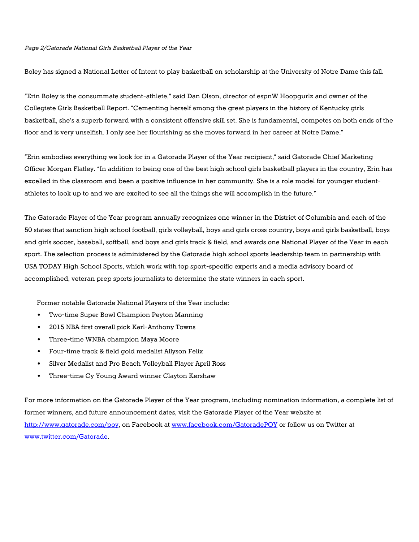## Page 2/Gatorade National Girls Basketball Player of the Year

Boley has signed a National Letter of Intent to play basketball on scholarship at the University of Notre Dame this fall.

"Erin Boley is the consummate student-athlete," said Dan Olson, director of espnW Hoopgurlz and owner of the Collegiate Girls Basketball Report. "Cementing herself among the great players in the history of Kentucky girls basketball, she's a superb forward with a consistent offensive skill set. She is fundamental, competes on both ends of the floor and is very unselfish. I only see her flourishing as she moves forward in her career at Notre Dame."

"Erin embodies everything we look for in a Gatorade Player of the Year recipient," said Gatorade Chief Marketing Officer Morgan Flatley. "In addition to being one of the best high school girls basketball players in the country, Erin has excelled in the classroom and been a positive influence in her community. She is a role model for younger studentathletes to look up to and we are excited to see all the things she will accomplish in the future."

The Gatorade Player of the Year program annually recognizes one winner in the District of Columbia and each of the 50 states that sanction high school football, girls volleyball, boys and girls cross country, boys and girls basketball, boys and girls soccer, baseball, softball, and boys and girls track & field, and awards one National Player of the Year in each sport. The selection process is administered by the Gatorade high school sports leadership team in partnership with USA TODAY High School Sports, which work with top sport-specific experts and a media advisory board of accomplished, veteran prep sports journalists to determine the state winners in each sport.

Former notable Gatorade National Players of the Year include:

- Two-time Super Bowl Champion Peyton Manning
- 2015 NBA first overall pick Karl-Anthony Towns
- Three-time WNBA champion Maya Moore
- Four-time track & field gold medalist Allyson Felix
- Silver Medalist and Pro Beach Volleyball Player April Ross
- Three-time Cy Young Award winner Clayton Kershaw

For more information on the Gatorade Player of the Year program, including nomination information, a complete list of former winners, and future announcement dates, visit the Gatorade Player of the Year website at http://www.gatorade.com/poy, on Facebook at www.facebook.com/GatoradePOY or follow us on Twitter at www.twitter.com/Gatorade.